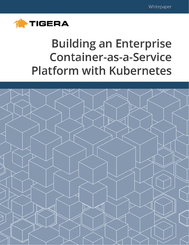

# **Building an Enterprise Container-as-a-Service Platform with Kubernetes**

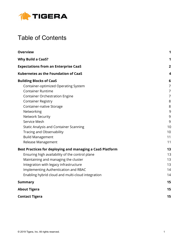

# Table of Contents

<span id="page-1-0"></span>

| <b>Overview</b>                                           | 1              |
|-----------------------------------------------------------|----------------|
| <b>Why Build a CaaS?</b>                                  | 1              |
| <b>Expectations from an Enterprise CaaS</b>               | $\overline{2}$ |
| <b>Kubernetes as the Foundation of CaaS</b>               | 4              |
| <b>Building Blocks of CaaS</b>                            | 6              |
| Container-optimized Operating System                      | 7              |
| <b>Container Runtime</b>                                  | 7              |
| <b>Container Orchestration Engine</b>                     | 7              |
| <b>Container Registry</b>                                 | 8              |
| Container-native Storage                                  | 8              |
| Networking                                                | 9              |
| <b>Network Security</b>                                   | 9              |
| Service Mesh                                              | 9              |
| <b>Static Analysis and Container Scanning</b>             | 10             |
| <b>Tracing and Observability</b>                          | 10             |
| <b>Build Management</b>                                   | 11             |
| Release Management                                        | 11             |
| Best Practices for deploying and managing a CaaS Platform | 13             |
| Ensuring high availability of the control plane           | 13             |
| Maintaining and managing the cluster                      | 13             |
| Integration with legacy infrastructure                    | 13             |
| Implementing Authentication and RBAC                      | 14             |
| Enabling hybrid cloud and multi-cloud integration         | 14             |
| <b>Summary</b>                                            | 15             |
| <b>About Tigera</b>                                       | 15             |
| <b>Contact Tigera</b>                                     | 15             |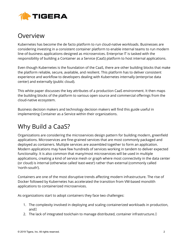

### **Overview**

Kubernetes has become the de facto platform to run cloud-native workloads. Businesses are considering investing in a consistent container platform to enable internal teams to run modern line-of-business applications designed as microservices. Enterprise IT is tasked with the responsibility of building a Container as a Service (CaaS) platform to host internal applications.

Even though Kubernetes is the foundation of the CaaS, there are other building blocks that make the platform reliable, secure, available, and resilient. This platform has to deliver consistent experience and workflow to developers dealing with Kubernetes internally (enterprise data center) and externally (public cloud).

This white paper discusses the key attributes of a production CaaS environment. It then maps the building blocks of the platform to various open source and commercial offerings from the cloud-native ecosystem.

Business decision makers and technology decision makers will find this guide useful in implementing Container as a Service within their organizations.

# <span id="page-2-0"></span>Why Build a CaaS?

Organizations are considering the microservices design pattern for building modern, greenfield applications. Microservices are fine-grained services that are most commonly packaged and deployed as containers. Multiple services are assembled together to form an application. Modern applications may have few hundreds of services working in tandem to deliver expected functionality. It is also common that many/most microservices will be used in multiple applications, creating a kind of service mesh or graph where most connectivity in the data center (or cloud) is internal (otherwise called 'east-west') rather than external (commonly called 'north-south').

Containers are one of the most disruptive trends affecting modern infrastructure. The rise of Docker followed by Kubernetes has accelerated the transition from VM-based monolith applications to containerized microservices.

As organizations start to adopt containers they face two challenges:

- 1. The complexity involved in deploying and scaling containerized workloads in production, and
- 2. The lack of integrated toolchain to manage distributed, container infrastructure.<sup>[]</sup>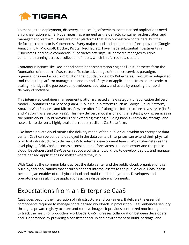

To manage the deployment, discovery, and scaling of services, containerized applications need an orchestration engine. Kubernetes has emerged as the de facto container orchestration and management platform. There are other platforms that also orchestrate containers, but the de-facto orchestrator is Kubernetes. Every major cloud and container platform provider (Google, Amazon, IBM, Microsoft, Docker, Pivotal, RedHat, etc. have made substantial investments in Kubernetes, and have commercial Kubernetes offerings., Kubernetes manages multiple containers running across a collection of hosts, which is referred to a cluster.

Container runtimes like Docker and container orchestration engines like Kubernetes form the foundation of modern infrastructure. To take advantage of the microservices paradigm, organizations need a platform built on the foundation laid by Kubernetes. Through an integrated tool-chain, the platform manages the end-to-end lifecycle of applications - from source code to scaling. It bridges the gap between developers, operators, and users by enabling the rapid delivery of software.

This integrated container management platform created a new category of application delivery model - Containers as a Service (CaaS). Public cloud platforms such as Google Cloud Platform, Amazon Web Services, and Microsoft Azure offer CaaS alongside Infrastructure as a service (IaaS) and Platform as a Service (PaaS). This new delivery model is one of the fastest growing services in the public cloud. Cloud providers are extending existing building blocks - compute, storage, and network - to deliver a highly available, robust, resilient CaaS platform.

Like how a private cloud mimics the delivery model of the public cloud within an enterprise data center, CaaS can be built and deployed in the data center. Enterprises can extend their physical or virtual infrastructure to deliver CaaS to internal development teams. With Kubernetes as the level-playing field, CaaS becomes a consistent platform across the data center and the public cloud. Developers and DevOps can adopt a consistent workflow to develop, deploy, and manage containerized applications no matter where they run.

With CaaS as the common fabric across the data center and the public cloud, organizations can build hybrid applications that securely connect internal assets to the public cloud. CaaS is fast becoming an enabler of the hybrid cloud and multi-cloud deployments. Developers and operators can easily move applications across disparate environments.

## <span id="page-3-0"></span>Expectations from an Enterprise CaaS

CaaS goes beyond the integration of infrastructure and containers. It delivers the essential components required to manage containerized workloads in production. CaaS enhances security through a private registry to store and retrieve images. It provides centralized monitoring tools to track the health of production workloads. CaaS increases collaboration between developers and IT operations by providing a consistent and unified environment to build, package, and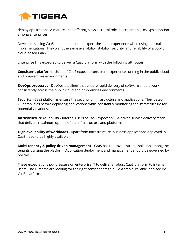

deploy applications. A mature CaaS offering plays a critical role in accelerating DevOps adoption among enterprises.

Developers using CaaS in the public cloud expect the same experience when using internal implementations. They want the same availability, stability, security, and reliability of a public cloud-based CaaS.

Enterprise IT is expected to deliver a CaaS platform with the following attributes:

**Consistent platform -** Users of CaaS expect a consistent experience running in the public cloud and on-premises environments.

**DevOps processes -** DevOps pipelines that ensure rapid delivery of software should work consistently across the public cloud and on-premises environments.

**Security -** CaaS platforms ensure the security of infrastructure and applications. They detect vulnerabilities before deploying applications while constantly monitoring the infrastructure for potential violations.

**Infrastructure reliability -** Internal users of CaaS expect an SLA-driven service delivery model that delivers maximum uptime of the infrastructure and platform.

**High availability of workloads -** Apart from infrastructure, business applications deployed in CaaS need to be highly available.

**Multi-tenancy & policy-driven management -** CaaS has to provide strong isolation among the tenants utilizing the platform. Application deployment and management should be governed by policies.

These expectations put pressure on enterprise IT to deliver a robust CaaS platform to internal users. The IT teams are looking for the right components to build a stable, reliable, and secure CaaS platform.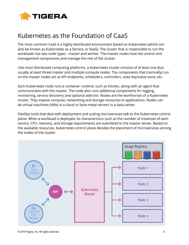

## <span id="page-5-0"></span>Kubernetes as the Foundation of CaaS

The most common CaaS is a highly distributed environment based on Kubernetes (which can also be known as Kubernetes as a Service, or KaaS). The cluster that is responsible to run the workloads has two node types - master and worker. The master nodes host the control and management components and manage the rest of the cluster.

Like most distributed computing platforms, a Kubernetes cluster consists of at least one (but usually at least three) master and multiple compute nodes. The components that (normally) run on the master nodes act as API endpoints, schedulers, controllers, state key/value store, etc.

Each Kubernetes node runs a container runtime, such as Docker, along with an agent that communicates with the master. The node also runs additional components for logging, monitoring, service discovery and optional add-ons. Nodes are the workhorses of a Kubernetes cluster. They expose compute, networking and storage resources to applications. Nodes can be virtual machines (VMs) in a cloud or bare metal servers in a data center.

DevOps tools that deal with deployment and scaling microservices talk to the Kubernetes control plane. When a workload is deployed, its characteristics such as the number of instances of each service, CPU, memory, and storage requirements are submitted to the master server. Based on the available resources, Kubernetes control plane decides the placement of microservices among the nodes of the cluster.

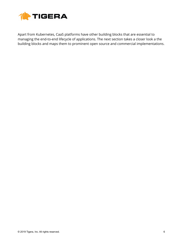

Apart from Kubernetes, CaaS platforms have other building blocks that are essential to managing the end-to-end lifecycle of applications. The next section takes a closer look a the building blocks and maps them to prominent open source and commercial implementations.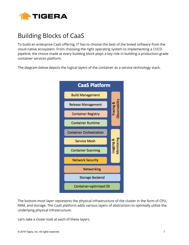

# <span id="page-7-0"></span>Building Blocks of CaaS

To build an enterprise CaaS offering, IT has to choose the best of the breed software from the cloud native ecosystem. From choosing the right operating system to implementing a CI/CD pipeline, the choice made at every building block plays a key role in building a production-grade container services platform.

The diagram below depicts the logical layers of the container as a service technology stack.



The bottom-most layer represents the physical infrastructure of the cluster in the form of CPU, RAM, and storage. The CaaS platform adds various layers of abstraction to optimally utilize the underlying physical infrastructure.

Let's take a closer look at each of these layers.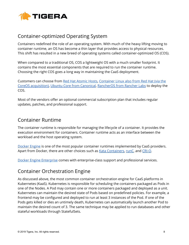

#### <span id="page-8-0"></span>Container-optimized Operating System

Containers redefined the role of an operating system. With much of the heavy lifting moving to container runtime, an OS has become a thin layer that provides access to physical resources. This shift has resulted in a new breed of operating systems called container-optimized OS (COS).

When compared to a traditional OS, COS a lightweight OS with a much smaller footprint. It contains the most essential components that are required to run the container runtime. Choosing the right COS goes a long way in maintaining the CaaS deployment.

Customers can choose from Red Hat [Atomic](https://www.projectatomic.io/) Hosts, [Container](https://coreos.com/products/container-linux-subscription/) Linux also from Red Hat (via the CoreOS [acquisition\)](https://coreos.com/products/container-linux-subscription/), Ubuntu Core from [Canonical](https://www.ubuntu.com/core), [RancherOS](https://rancher.com/rancher-os/) from Rancher Labs to deploy the COS.

Most of the vendors offer an optional commercial subscription plan that includes regular updates, patches, and professional support.

#### <span id="page-8-1"></span>Container Runtime

The container runtime is responsible for managing the lifecycle of a container. It provides the execution environment for containers. Container runtime acts as an interface between the workload and the host operating system.

[Docker](https://www.docker.com/products/docker-engine) Engine is one of the most popular container runtimes implemented by CaaS providers. Apart from Docker, there are other choices such as Kata [Containers,](https://katacontainers.io/) [runC,](https://github.com/opencontainers/runc) and [CRI-O.](https://cri-o.io/)

<span id="page-8-2"></span>Docker Engine [Enterprise](https://www.docker.com/products/docker-engine) comes with enterprise-class support and professional services.

#### Container Orchestration Engine

As discussed above, the most common container orchestration engine for CaaS platforms in Kubernetes (KaaS). Kubernetes is responsible for scheduling the containers packaged as Pods in one of the Nodes. A Pod may contain one or more containers packaged and deployed as a unit. Kubernetes can maintain the desired state of Pods based on predefined policies. For example, a frontend may be configured and deployed to run at least 3 instances of the Pod. If one of the Pods gets killed or dies an untimely death, Kubernetes can automatically launch another Pod to maintain the desired count of 3. The same technique may be applied to run databases and other stateful workloads through StatefulSets.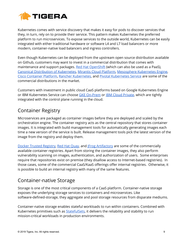

Kubernetes comes with service discovery that makes it easy for pods to discover services that they, in turn, rely on to provide their service. This pattern makes Kubernetes the preferred platform to run microservices. To expose services to the outside world, Kubernetes can be easily integrated with either traditional hardware or software L4 and L7 load balancers or more modern, container-native load balancers and ingress controllers.

Even though Kubernetes can be deployed from the upstream open source distribution available on Github, customers may want to invest in a commercial distribution that comes with maintenance and support packages. Red Hat [OpenShift](https://www.openshift.com/) (which can also be used as a PaaS), Canonical [Distribution](https://www.ubuntu.com/kubernetes) of Kubernetes, Mirantis Cloud [Platform,](https://www.mirantis.com/software/mcp/) [Mesosphere](https://mesosphere.com/product/kubernetes-engine/) Kubernetes Engine, Cisco [Container](https://www.cisco.com/c/en/us/products/cloud-systems-management/container-platform/index.html) Platform, Rancher [Kubernetes,](https://rancher.com/kubernetes/) and Pivotal [Kubernetes](https://cloud.vmware.com/vmware-enterprise-pks) Service are some of the commercial distributions in the market.

Customers with investment in public cloud CaaS platforms based on Google Kubernetes Engine or IBM Kubernetes Service can choose GKE [On-Prem](https://cloud.google.com/gke-on-prem/) or IBM Cloud [Private](https://www.ibm.com/cloud/private), which are tightly integrated with the control plane running in the cloud.

#### <span id="page-9-0"></span>Container Registry

Microservices are packaged as container images before they are deployed and scaled by the orchestration engine. The container registry acts as the central repository that stores container images. It is integrated with build management tools for automatically generating images each time a new version of the service is built. Release management tools pick the latest version of the image from the registry and deploy them.

Docker Trusted [Registry,](https://docs.docker.com/ee/dtr/) Red Hat [Quay,](https://www.openshift.com/products/quay) and JFrog [Artifactory](https://jfrog.com/artifactory/) are some of the commercially available container registries. Apart from storing the container images, they also perform vulnerability scanning on images, authentication, and authorization of users. Some enterprises require that repositories exist on premise (they disallow access to Internet-based registries). In those cases, some of the commercial CaaS/KaaS offerings offer internal registries. Otherwise, it is possible to build an internal registry with many of the same features.

#### <span id="page-9-1"></span>Container-native Storage

Storage is one of the most critical components of a CaaS platform. Container-native storage exposes the underlying storage services to containers and microservices. Like software-defined-storage, they aggregate and pool storage resources from disparate mediums.

Container-native storage enables stateful workloads to run within containers. Combined with Kubernetes primitives such as [StatefulSets](https://kubernetes.io/docs/concepts/workloads/controllers/statefulset/), it delivers the reliability and stability to run mission-critical workloads in production environments.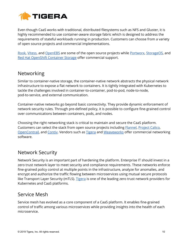

Even though CaaS works with traditional, distributed filesystems such as NFS and Gluster, it is highly recommended to use container-aware storage fabric which is designed to address the requirements of stateful workloads running in production. Customers can choose from a variety of open source projects and commercial implementations.

[Rook](https://rook.io/), [Vitess](https://vitess.io/), and [OpenEBS](https://www.openebs.io/) are some of the open source projects while [Portworx](https://portworx.com/), [StorageOS,](https://storageos.com/) and Red Hat [OpenShift](https://www.redhat.com/en/technologies/cloud-computing/openshift-container-storage) Container Storage offer commercial support.

#### <span id="page-10-0"></span>Networking

Similar to container-native storage, the container-native network abstracts the physical network infrastructure to expose a flat network to containers. It is tightly integrated with Kubernetes to tackle the challenges involved in container-to-container, pod-to-pod, node-to-node, pod-to-service, and external communication.

Container-native networks go beyond basic connectivity. They provide dynamic enforcement of network security rules. Through pre-defined policy, it is possible to configure fine-grained control over communications between containers, pods, and nodes.

Choosing the right networking stack is critical to maintain and secure the CaaS platform. Customers can select the stack from open source projects including **Flannel**, [Project](https://github.com/projectcalico) Calico, [OpenContrail](http://www.opencontrail.org/), and [Contiv.](https://contiv.io/) Vendors such as [Tigera](https://www.tigera.io/) and [Weaveworks](https://www.weave.works/) offer commercial networking software.

#### <span id="page-10-1"></span>Network Security

Network Security is an important part of hardening the platform. Enterprise IT should invest in a zero trust network layer to meet security and compliance requirements. These networks enforce fine-grained policy control at multiple points in the infrastructure, analyze for anomalies, and encrypt and authorize the traffic flowing between microservices using mutual secure protocols like Transport Layer Security (mTLS). [Tigera](https://www.tigera.io/) is one of the leading zero trust network providers for Kubernetes and CaaS platforms.

#### <span id="page-10-2"></span>Service Mesh

Service mesh has evolved as a core component of a CaaS platform. It enables fine-grained control of traffic among various microservices while providing insights into the health of each microservice.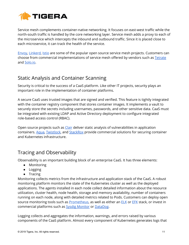

Service mesh complements container-native networking. It focuses on east-west traffic while the north-south traffic is handled by the core networking layer. Service mesh adds a proxy to each of the microservice which intercepts the inbound and outbound traffic. Since it is placed close to each microservice, it can track the health of the service.

[Envoy](https://www.envoyproxy.io/), [Linkerd](https://linkerd.io/), [Istio](https://istio.io/) are some of the popular open source service mesh projects. Customers can choose from commercial implementations of service mesh offered by vendors such as **[Tetrate](https://www.tetrate.io/)** and [Solo.io.](http://www.solo.io/)

#### <span id="page-11-0"></span>Static Analysis and Container Scanning

Security is critical to the success of a CaaS platform. Like other IT projects, security plays an important role in the implementation of container platforms.

A secure CaaS uses trusted images that are signed and verified. This feature is tightly integrated with the container registry component that stores container images. It implements a vault to securely store the secrets including usernames, passwords, and other sensitive data. CaaS must be integrated with existing LDAP and Active Directory deployment to configure integrated role-based access control (RBAC).

Open source projects such as [Clair](https://github.com/coreos/clair) deliver static analysis of vulnerabilities in application containers. [Aqua,](https://www.aquasec.com/) [Twistlock](https://www.twistlock.com/), and [StackRox](https://www.stackrox.com/) provide commercial solutions for securing container and Kubernetes infrastructure.

#### <span id="page-11-1"></span>Tracing and Observability

Observability is an important building block of an enterprise CaaS. It has three elements:

- Monitoring
- Logging
- Tracing

Monitoring collects metrics from the infrastructure and application stack of the CaaS. A robust monitoring platform monitors the state of the Kubernetes cluster as well as the deployed applications. The agents installed in each node collect detailed information about the resource utilization, cluster health, node health, storage and memory availability, number of containers running on each node, along with detailed metrics related to Pods. Customers can deploy open source monitoring tools such as **[Prometheus](https://prometheus.io/)**, as well as either an **[ELK](https://www.elastic.co/elk-stack)** or **[EFK](https://docs.fluentd.org/v0.12/articles/docker-logging-efk-compose)** stack, or invest in commercial platforms such as **Sysdig [Monitor](https://sysdig.com/products/monitor/)** or **DataDog**.

Logging collects and aggregates the information, warnings, and errors raised by various components of the CaaS platform. Almost every component of Kubernetes generates logs that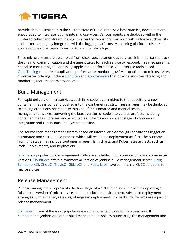

provide detailed insight into the current state of the cluster. As a best practice, developers are encouraged to integrate logging into microservices. Various agents are deployed within the cluster to collect and stream the logs to a central repository. Service mesh software such as Istio and Linkerd are tightly integrated with the logging platforms. Monitoring platforms discussed above double up as repositories to store and analyze logs.

Since microservices are assembled from disparate, autonomous services, it is important to track the chain of communication and the time it takes for each service to respond. This mechanism is critical to monitoring and analyzing application performance. Open source tools based [OpenTracing](https://opentracing.io/) can deliver application performance monitoring (APM) capabilities to microservices. Commercial offerings include [LightStep](https://lightstep.com/) and [AppDynamics](https://www.appdynamics.com/) that provide end-to-end tracing and monitoring features for microservices.

#### <span id="page-12-0"></span>Build Management

For rapid delivery of microservices, each time code is committed to the repository, a new container image is built and pushed into the container registry. These images may be deployed to staging or test environments within CaaS for automated and manual testing. Build management involves converting the latest version of code into various artifacts including container images, libraries, and executables. It forms an important stage of continuous integration and continuous deployment pipeline.

The source code management system based on internal or external git repositories trigger an automated and secure build process which will result in a deployment artifact. The outcome from this stage may include container images, Helm charts, and Kubernetes artifacts such as Pods, Deployments, and ReplicaSets.

[Jenkins](https://jenkins.io/) is a popular build management software available in both open source and commercial versions. [CloudBees](https://www.cloudbees.com/) offers a commercial version of Jenkins build management server. [JFrog](https://jfrog.com/), [SemaohoreCI,](https://semaphoreci.com/) [CircleCI,](https://circleci.com/) [TravisCI,](https://travis-ci.org/) [GitLabCI,](https://about.gitlab.com/product/continuous-integration/) and [Xebia](https://xebialabs.com/) Labs have commercial CI/CD solutions for microservices.

#### <span id="page-12-1"></span>Release Management

Release management represents the final stage of a CI/CD pipelines. It involves deploying a fully-tested version of microservices in the production environment. Advanced deployment strategies such as canary releases, blue/green deployments, rollbacks, rollfowards are a part of release management.

[Spinnaker](https://www.spinnaker.io/) is one of the most popular release management tools for microservices. It complements Jenkins and other build management tools by automating the management and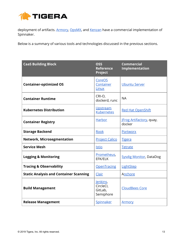

deployment of artifacts. [Armory](https://www.armory.io/), [OpsMX](http://opsmx.com/), and [Kenzan](https://kenzan.com/) have a commercial implementation of Spinnaker.

Below is a summary of various tools and technologies discussed in the previous sections.

| <b>CaaS Building Block</b>                    | <b>OSS</b><br><b>Reference</b><br>Project     | <b>Commercial</b><br><b>Implementation</b> |
|-----------------------------------------------|-----------------------------------------------|--------------------------------------------|
| <b>Container-optimized OS</b>                 | CoreOS<br>Container<br>Linux                  | <b>Ubuntu Server</b>                       |
| <b>Container Runtime</b>                      | CRI-O,<br>dockerd, runc                       | <b>NA</b>                                  |
| <b>Kubernetes Distribution</b>                | Upstream<br><b>Kubernetes</b>                 | <b>Red Hat OpenShift</b>                   |
| <b>Container Registry</b>                     | Harbor                                        | <b>JFrog Artifactory</b> , quay,<br>docker |
| <b>Storage Backend</b>                        | Rook                                          | Portworx                                   |
| <b>Network, Microsegmentation</b>             | <b>Project Calico</b>                         | <b>Tigera</b>                              |
| <b>Service Mesh</b>                           | <b>Istio</b>                                  | <b>Tetrate</b>                             |
| <b>Logging &amp; Monitoring</b>               | Prometheus,<br>EFK/ELK                        | <b>Sysdig Monitor, DataDog</b>             |
| <b>Tracing &amp; Observability</b>            | OpenTracing                                   | LightStep                                  |
| <b>Static Analysis and Container Scanning</b> | Clair                                         | Anchore                                    |
| <b>Build Management</b>                       | Jenkins,<br>CircleCl,<br>GitLab,<br>Semiphore | <b>CloudBees Core</b>                      |
| <b>Release Management</b>                     | Spinnaker                                     | <u>Armory</u>                              |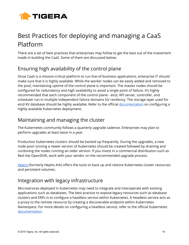

# <span id="page-14-0"></span>Best Practices for deploying and managing a CaaS Platform

There are a set of best practices that enterprises may follow to get the best out of the investment made in building the CaaS. Some of them are discussed below:

#### <span id="page-14-1"></span>Ensuring high availability of the control plane

Since CaaS is a mission-critical platform to run line-of-business applications, enterprise IT should make sure that it is highly available. While the worker nodes can be easily added and removed to the pool, maintaining uptime of the control plane is important. The master nodes should be configured for redundancy and high availability to avoid a single point of failure. It's highly recommended that each component of the control plane - etcd, API server, controller, and scheduler run in multiple independent failure domains for resiliency. The storage layer used for etcd KV database should be highly available. Refer to the official [documentation](https://kubernetes.io/docs/tasks/administer-cluster/highly-available-master/) on configuring a highly available Kubernetes deployment.

#### Maintaining and managing the cluster

The Kubernetes community follows a quarterly upgrade cadence. Enterprises may plan to perform upgrades at least twice in a year.

Production Kubernetes clusters should be backed up frequently. During the upgrades, a new node pool running a newer version of Kubernetes should be created followed by draining and cordoning the nodes running an older version. If you invest in a commercial distribution such as Red Hat OpenShift, work with your vendor on the recommended upgrade process.

[Velero](https://github.com/heptio/velero) (formerly Heptio Ark) offers the tools to back up and restore Kubernetes cluster resources and persistent volumes.

#### Integration with legacy infrastructure

Microservices deployed in Kubernetes may need to integrate and interoperate with existing applications such as databases. The best practice to expose legacy resources such as database clusters and ERPs is to configure a headless service within Kubernetes. A headless service acts as a proxy to the remote resource by creating a discoverable endpoint within Kubernetes Namespace. For more details on configuring a headless service, refer to the official Kubernetes [documentation](https://kubernetes.io/docs/concepts/services-networking/service/#headless-services).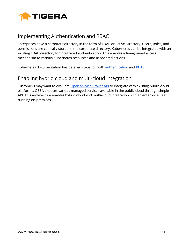

#### Implementing Authentication and RBAC

Enterprises have a corporate directory in the form of LDAP or Active Directory. Users, Roles, and permissions are centrally stored in the corporate directory. Kubernetes can be integrated with an existing LDAP directory for integrated authentication. This enables a fine-grained access mechanism to various Kubernetes resources and associated actions.

Kubernetes documentation has detailed steps for both **[authentication](https://kubernetes.io/docs/reference/access-authn-authz/authentication/)** and **[RBAC](https://kubernetes.io/docs/reference/access-authn-authz/rbac/)**.

#### Enabling hybrid cloud and multi-cloud integration

Customers may want to evaluate Open [Service](https://www.openservicebrokerapi.org/) Broker API to integrate with existing public cloud platforms. OSBA exposes various managed services available in the public cloud through simple API. This architecture enables hybrid cloud and multi-cloud integration with an enterprise CaaS running on-premises.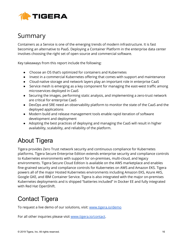

## <span id="page-16-0"></span>Summary

Containers as a Service is one of the emerging trends of modern infrastructure. It is fast becoming an alternative to PaaS. Deploying a Container Platform in the enterprise data center involves choosing the right set of open source and commercial software.

Key takeaways from this report include the following:

- Choose an OS that's optimized for containers and Kubernetes
- Invest in a commercial Kubernetes offering that comes with support and maintenance
- Cloud-native storage and network layers play an important role in enterprise CaaS
- Service mesh is emerging as a key component for managing the east-west traffic among microservices deployed in CaaS
- Securing the images, performing static analysis, and implementing a zero-trust network are critical for enterprise CaaS
- DevOps and SRE need an observability platform to monitor the state of the CaaS and the deployed applications
- Modern build and release management tools enable rapid iteration of software development and deployment
- Adopting the best practices of deploying and managing the CaaS will result in higher availability, scalability, and reliability of the platform.

## <span id="page-16-1"></span>About Tigera

Tigera provides Zero Trust network security and continuous compliance for Kubernetes platforms. Tigera Secure Enterprise Edition extends enterprise security and compliance controls to Kubernetes environments with support for on-premises, multi-cloud, and legacy environments. Tigera Secure Cloud Edition is available on the AWS marketplace and enables fine-grained security and compliance controls for Kubernetes on AWS and Amazon EKS. Tigera powers all of the major Hosted Kubernetes environments including Amazon EKS, Azure AKS, Google GKE, and IBM Container Service. Tigera is also integrated with the major on-premises Kubernetes deployments and is shipped "batteries included" in Docker EE and fully integrated with Red Hat OpenShift.

## <span id="page-16-2"></span>Contact Tigera

To request a live demo of our solutions, visit: [www.tigera.io/demo](http://www.tigera.io/demo)

For all other inquiries please visit [www.tigera.io/contact](http://www.tigera.io/contact).